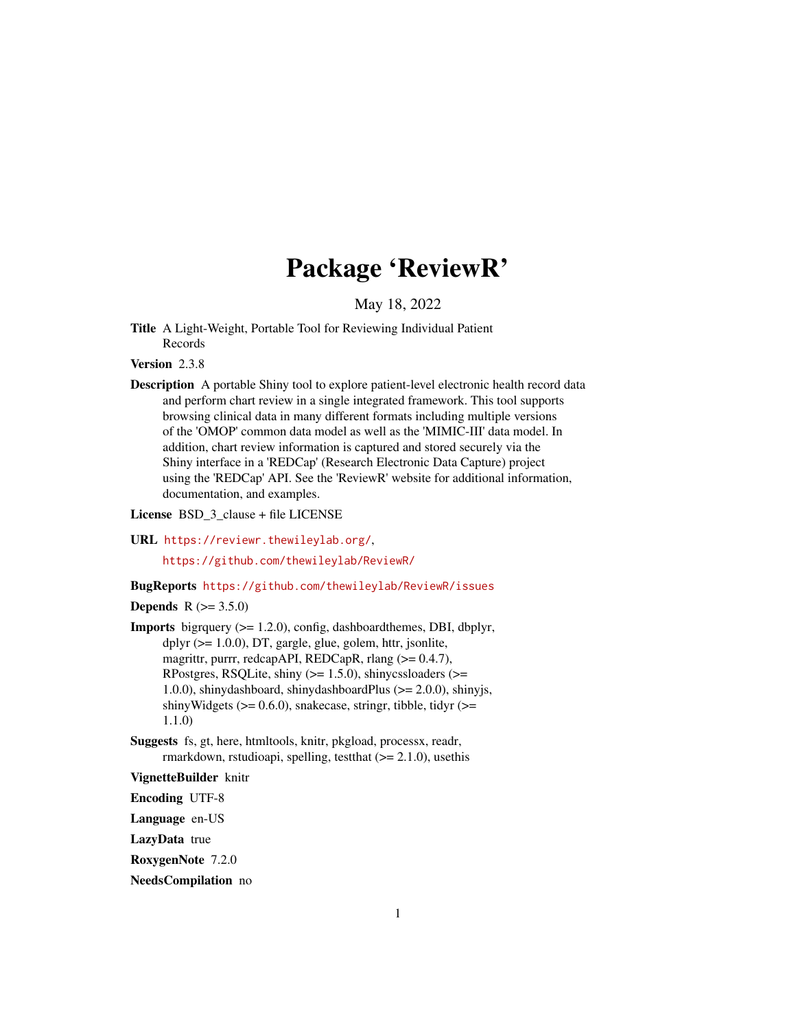# Package 'ReviewR'

May 18, 2022

Title A Light-Weight, Portable Tool for Reviewing Individual Patient Records

Version 2.3.8

Description A portable Shiny tool to explore patient-level electronic health record data and perform chart review in a single integrated framework. This tool supports browsing clinical data in many different formats including multiple versions of the 'OMOP' common data model as well as the 'MIMIC-III' data model. In addition, chart review information is captured and stored securely via the Shiny interface in a 'REDCap' (Research Electronic Data Capture) project using the 'REDCap' API. See the 'ReviewR' website for additional information, documentation, and examples.

License BSD\_3\_clause + file LICENSE

URL <https://reviewr.thewileylab.org/>,

<https://github.com/thewileylab/ReviewR/>

#### BugReports <https://github.com/thewileylab/ReviewR/issues>

#### **Depends** R  $(>= 3.5.0)$

- **Imports** bigrquery  $(>= 1.2.0)$ , config, dashboardthemes, DBI, dbplyr, dplyr (>= 1.0.0), DT, gargle, glue, golem, httr, jsonlite, magrittr, purrr, redcapAPI, REDCapR, rlang (>= 0.4.7), RPostgres, RSQLite, shiny  $(>= 1.5.0)$ , shinycssloaders  $(>=$ 1.0.0), shinydashboard, shinydashboardPlus (>= 2.0.0), shinyjs, shinyWidgets ( $>= 0.6.0$ ), snakecase, stringr, tibble, tidyr ( $>=$ 1.1.0)
- Suggests fs, gt, here, htmltools, knitr, pkgload, processx, readr, rmarkdown, rstudioapi, spelling, test that  $(>= 2.1.0)$ , use this

#### VignetteBuilder knitr

Encoding UTF-8

Language en-US

LazyData true

RoxygenNote 7.2.0

#### NeedsCompilation no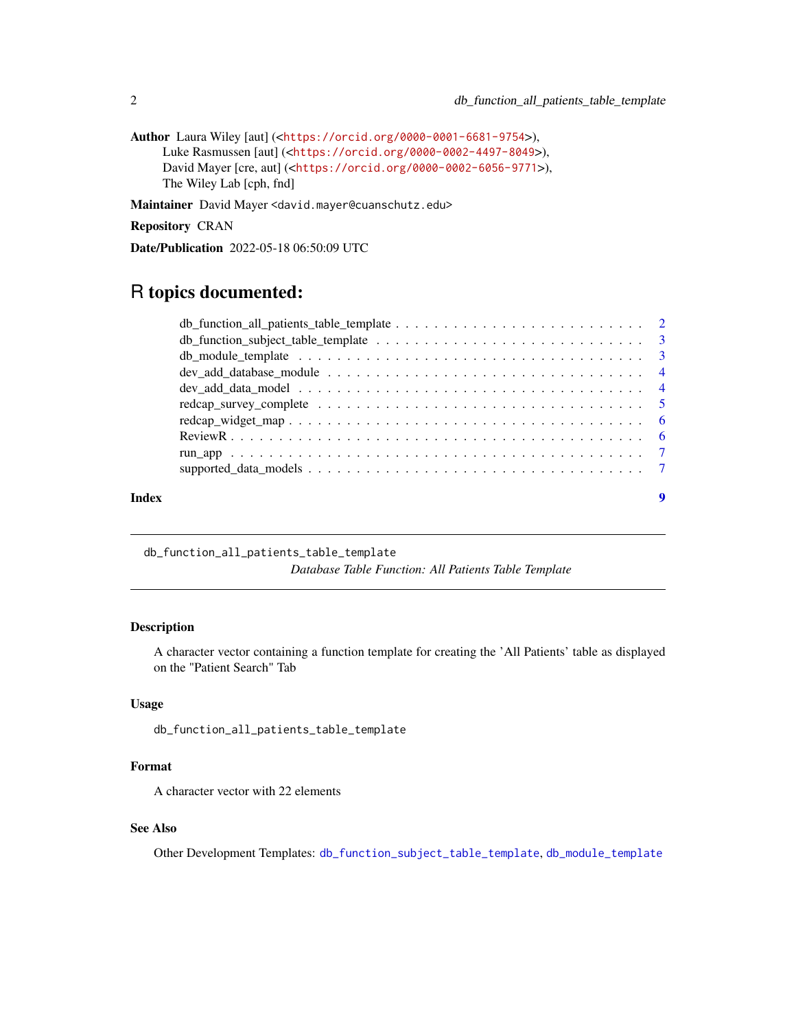```
Author Laura Wiley [aut] (<https://orcid.org/0000-0001-6681-9754>),
     Luke Rasmussen [aut] (<https://orcid.org/0000-0002-4497-8049>),
     David Mayer [cre, aut] (<https://orcid.org/0000-0002-6056-9771>),
     The Wiley Lab [cph, fnd]
```
Maintainer David Mayer <david.mayer@cuanschutz.edu>

Repository CRAN

Date/Publication 2022-05-18 06:50:09 UTC

## R topics documented:

| Index | 9 |
|-------|---|

<span id="page-1-1"></span>db\_function\_all\_patients\_table\_template

*Database Table Function: All Patients Table Template*

#### Description

A character vector containing a function template for creating the 'All Patients' table as displayed on the "Patient Search" Tab

#### Usage

db\_function\_all\_patients\_table\_template

#### Format

A character vector with 22 elements

#### See Also

Other Development Templates: [db\\_function\\_subject\\_table\\_template](#page-2-1), [db\\_module\\_template](#page-2-2)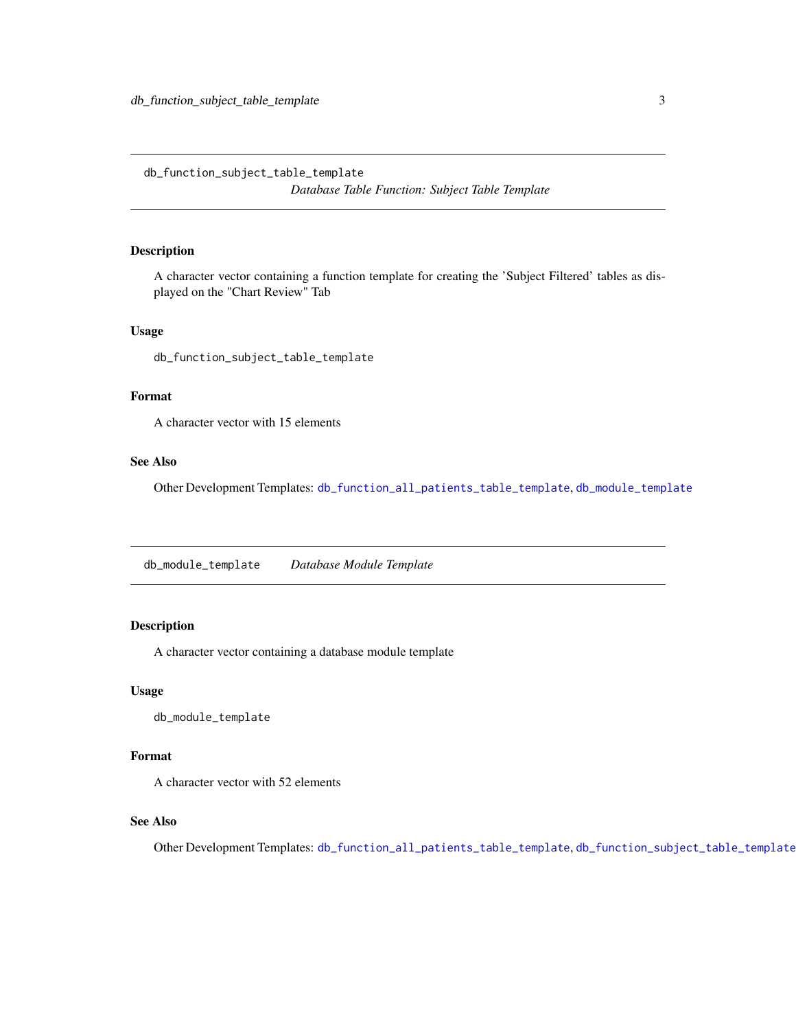<span id="page-2-1"></span><span id="page-2-0"></span>db\_function\_subject\_table\_template *Database Table Function: Subject Table Template*

#### Description

A character vector containing a function template for creating the 'Subject Filtered' tables as displayed on the "Chart Review" Tab

#### Usage

db\_function\_subject\_table\_template

#### Format

A character vector with 15 elements

#### See Also

Other Development Templates: [db\\_function\\_all\\_patients\\_table\\_template](#page-1-1), [db\\_module\\_template](#page-2-2)

<span id="page-2-2"></span>db\_module\_template *Database Module Template*

#### Description

A character vector containing a database module template

#### Usage

db\_module\_template

#### Format

A character vector with 52 elements

#### See Also

Other Development Templates: [db\\_function\\_all\\_patients\\_table\\_template](#page-1-1), [db\\_function\\_subject\\_table\\_template](#page-2-1)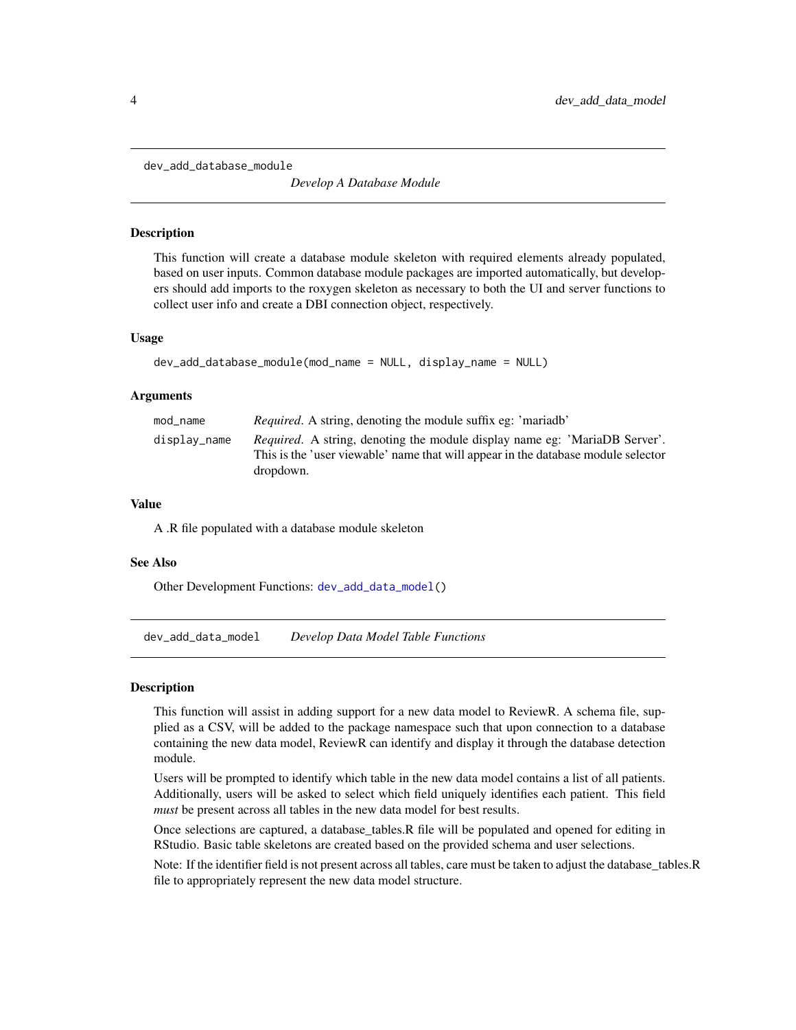<span id="page-3-2"></span><span id="page-3-0"></span>dev\_add\_database\_module

*Develop A Database Module*

#### Description

This function will create a database module skeleton with required elements already populated, based on user inputs. Common database module packages are imported automatically, but developers should add imports to the roxygen skeleton as necessary to both the UI and server functions to collect user info and create a DBI connection object, respectively.

#### Usage

```
dev_add_database_module(mod_name = NULL, display_name = NULL)
```
#### **Arguments**

| mod_name     | <i>Required.</i> A string, denoting the module suffix eg: 'mariadb'                                                                                                                 |
|--------------|-------------------------------------------------------------------------------------------------------------------------------------------------------------------------------------|
| display_name | <i>Required.</i> A string, denoting the module display name eg: 'MariaDB Server'.<br>This is the 'user viewable' name that will appear in the database module selector<br>dropdown. |

#### Value

A .R file populated with a database module skeleton

#### See Also

Other Development Functions: [dev\\_add\\_data\\_model\(](#page-3-1))

<span id="page-3-1"></span>dev\_add\_data\_model *Develop Data Model Table Functions*

#### Description

This function will assist in adding support for a new data model to ReviewR. A schema file, supplied as a CSV, will be added to the package namespace such that upon connection to a database containing the new data model, ReviewR can identify and display it through the database detection module.

Users will be prompted to identify which table in the new data model contains a list of all patients. Additionally, users will be asked to select which field uniquely identifies each patient. This field *must* be present across all tables in the new data model for best results.

Once selections are captured, a database\_tables.R file will be populated and opened for editing in RStudio. Basic table skeletons are created based on the provided schema and user selections.

Note: If the identifier field is not present across all tables, care must be taken to adjust the database\_tables.R file to appropriately represent the new data model structure.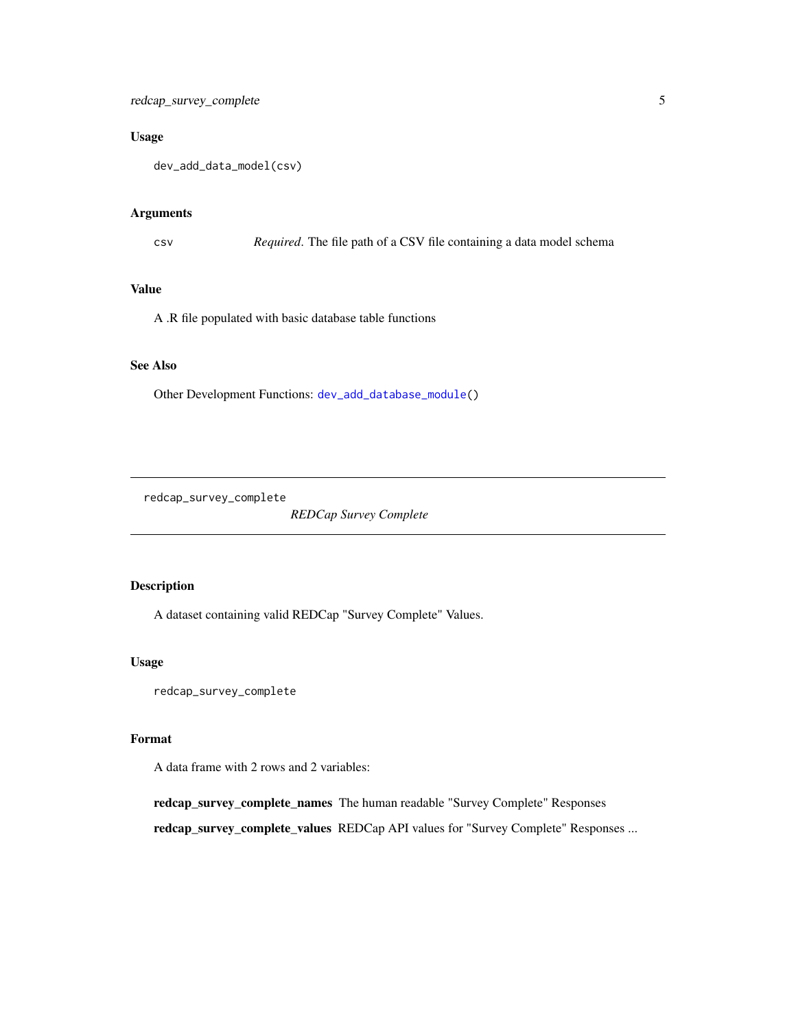#### <span id="page-4-0"></span>Usage

dev\_add\_data\_model(csv)

#### Arguments

csv *Required*. The file path of a CSV file containing a data model schema

#### Value

A .R file populated with basic database table functions

#### See Also

Other Development Functions: [dev\\_add\\_database\\_module\(](#page-3-2))

redcap\_survey\_complete

*REDCap Survey Complete*

#### Description

A dataset containing valid REDCap "Survey Complete" Values.

#### Usage

redcap\_survey\_complete

#### Format

A data frame with 2 rows and 2 variables:

redcap\_survey\_complete\_names The human readable "Survey Complete" Responses

redcap\_survey\_complete\_values REDCap API values for "Survey Complete" Responses ...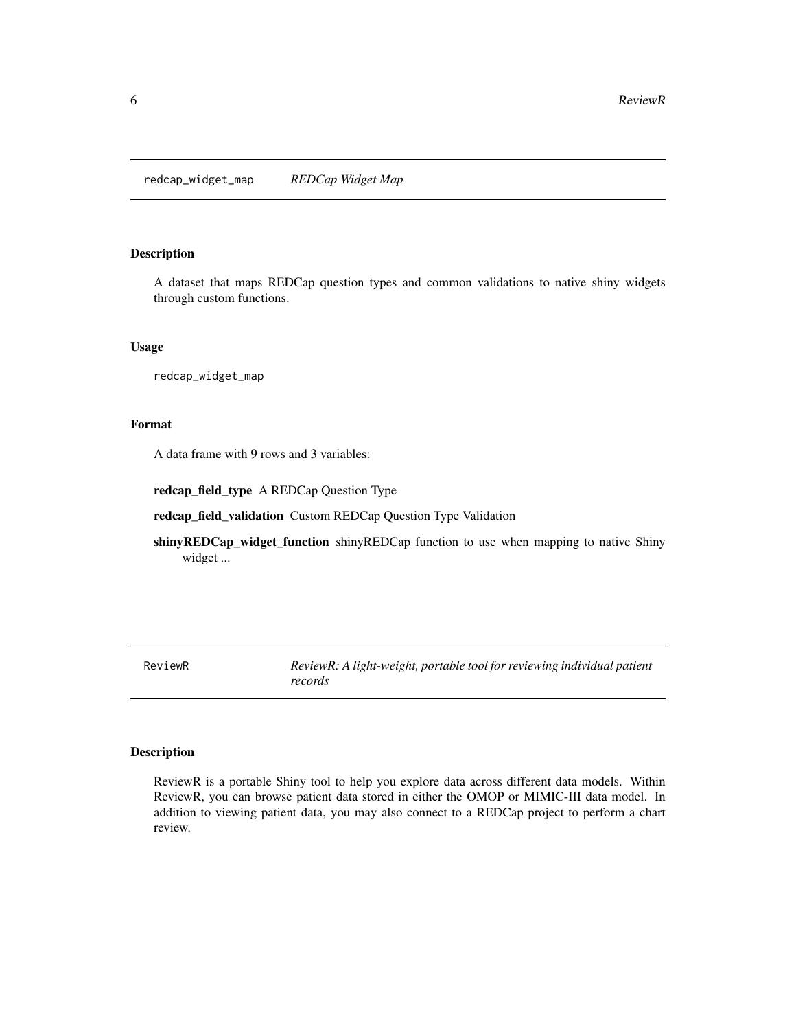<span id="page-5-0"></span>redcap\_widget\_map *REDCap Widget Map*

#### Description

A dataset that maps REDCap question types and common validations to native shiny widgets through custom functions.

#### Usage

redcap\_widget\_map

#### Format

A data frame with 9 rows and 3 variables:

redcap\_field\_type A REDCap Question Type

redcap\_field\_validation Custom REDCap Question Type Validation

shinyREDCap\_widget\_function shinyREDCap function to use when mapping to native Shiny widget ...

ReviewR *ReviewR: A light-weight, portable tool for reviewing individual patient records*

#### Description

ReviewR is a portable Shiny tool to help you explore data across different data models. Within ReviewR, you can browse patient data stored in either the OMOP or MIMIC-III data model. In addition to viewing patient data, you may also connect to a REDCap project to perform a chart review.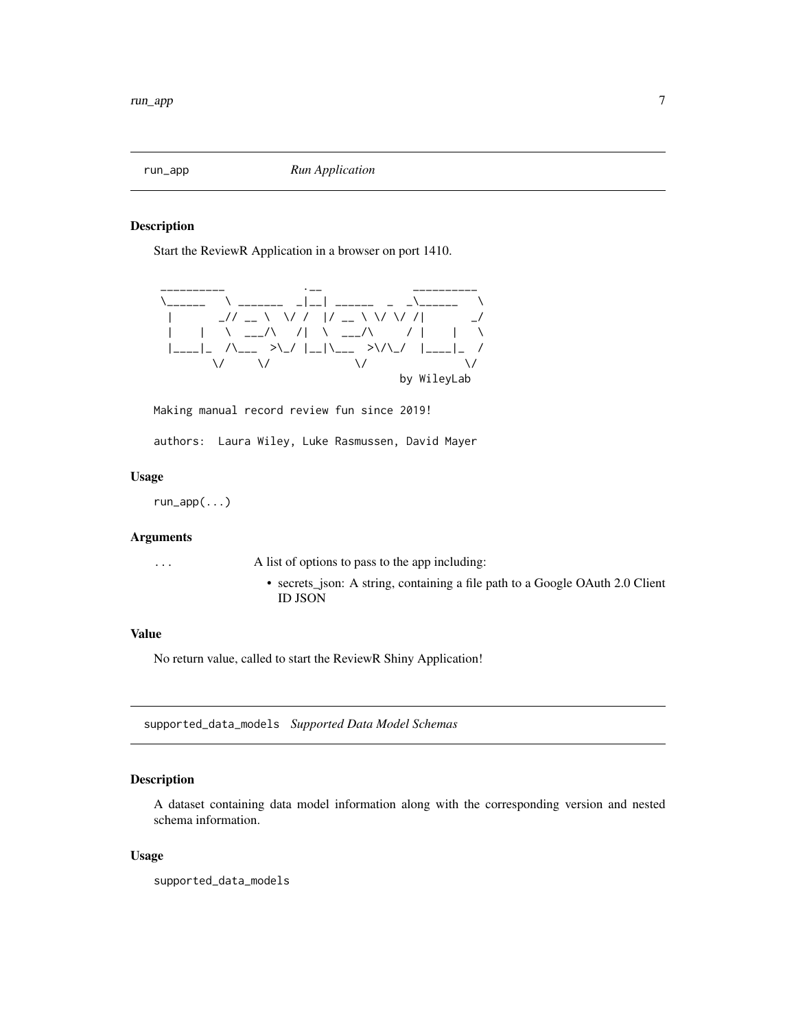<span id="page-6-0"></span>

#### Description

Start the ReviewR Application in a browser on port 1410.



Making manual record review fun since 2019!

authors: Laura Wiley, Luke Rasmussen, David Mayer

#### Usage

run\_app(...)

#### Arguments

... A list of options to pass to the app including:

• secrets\_json: A string, containing a file path to a Google OAuth 2.0 Client ID JSON

#### Value

No return value, called to start the ReviewR Shiny Application!

supported\_data\_models *Supported Data Model Schemas*

#### Description

A dataset containing data model information along with the corresponding version and nested schema information.

#### Usage

supported\_data\_models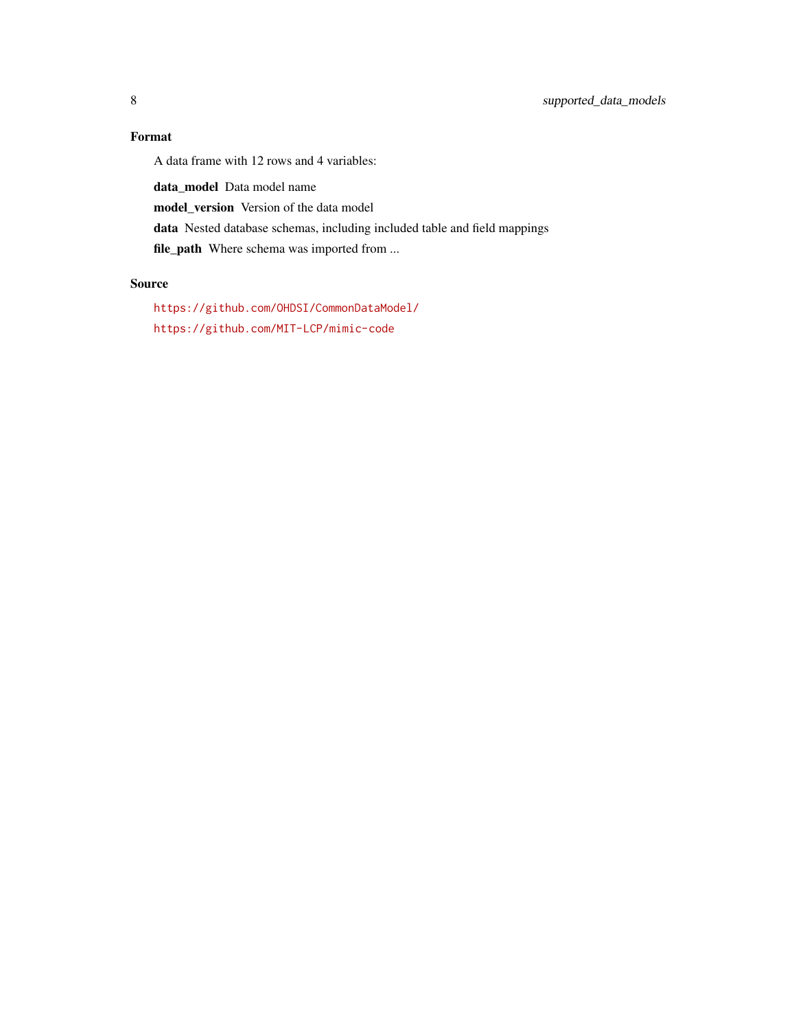### Format

A data frame with 12 rows and 4 variables:

data\_model Data model name

model\_version Version of the data model

data Nested database schemas, including included table and field mappings

file\_path Where schema was imported from ...

#### Source

<https://github.com/OHDSI/CommonDataModel/> <https://github.com/MIT-LCP/mimic-code>